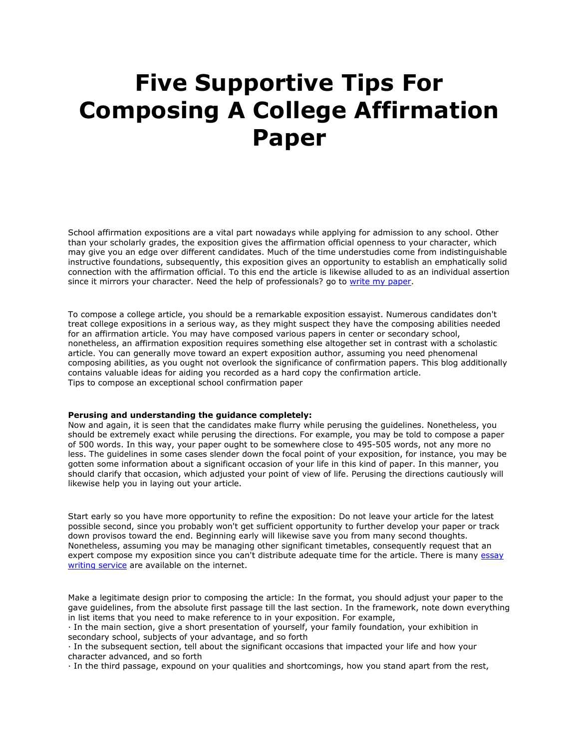## **Five Supportive Tips For Composing A College Affirmation Paper**

School affirmation expositions are a vital part nowadays while applying for admission to any school. Other than your scholarly grades, the exposition gives the affirmation official openness to your character, which may give you an edge over different candidates. Much of the time understudies come from indistinguishable instructive foundations, subsequently, this exposition gives an opportunity to establish an emphatically solid connection with the affirmation official. To this end the article is likewise alluded to as an individual assertion since it mirrors your character. Need the help of professionals? go to [write my paper.](https://www.sharkpapers.com/)

To compose a college article, you should be a remarkable exposition essayist. Numerous candidates don't treat college expositions in a serious way, as they might suspect they have the composing abilities needed for an affirmation article. You may have composed various papers in center or secondary school, nonetheless, an affirmation exposition requires something else altogether set in contrast with a scholastic article. You can generally move toward an expert exposition author, assuming you need phenomenal composing abilities, as you ought not overlook the significance of confirmation papers. This blog additionally contains valuable ideas for aiding you recorded as a hard copy the confirmation article. Tips to compose an exceptional school confirmation paper

## **Perusing and understanding the guidance completely:**

Now and again, it is seen that the candidates make flurry while perusing the guidelines. Nonetheless, you should be extremely exact while perusing the directions. For example, you may be told to compose a paper of 500 words. In this way, your paper ought to be somewhere close to 495-505 words, not any more no less. The guidelines in some cases slender down the focal point of your exposition, for instance, you may be gotten some information about a significant occasion of your life in this kind of paper. In this manner, you should clarify that occasion, which adjusted your point of view of life. Perusing the directions cautiously will likewise help you in laying out your article.

Start early so you have more opportunity to refine the exposition: Do not leave your article for the latest possible second, since you probably won't get sufficient opportunity to further develop your paper or track down provisos toward the end. Beginning early will likewise save you from many second thoughts. Nonetheless, assuming you may be managing other significant timetables, consequently request that an expert compose my exposition since you can't distribute adequate time for the article. There is many essay [writing service](https://essayhours.com/) are available on the internet.

Make a legitimate design prior to composing the article: In the format, you should adjust your paper to the gave guidelines, from the absolute first passage till the last section. In the framework, note down everything in list items that you need to make reference to in your exposition. For example,

· In the main section, give a short presentation of yourself, your family foundation, your exhibition in secondary school, subjects of your advantage, and so forth

· In the subsequent section, tell about the significant occasions that impacted your life and how your character advanced, and so forth

· In the third passage, expound on your qualities and shortcomings, how you stand apart from the rest,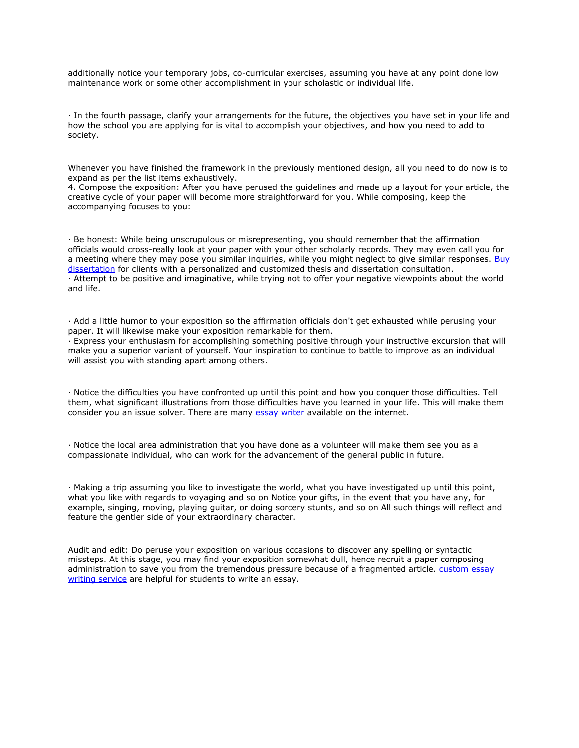additionally notice your temporary jobs, co-curricular exercises, assuming you have at any point done low maintenance work or some other accomplishment in your scholastic or individual life.

· In the fourth passage, clarify your arrangements for the future, the objectives you have set in your life and how the school you are applying for is vital to accomplish your objectives, and how you need to add to society.

Whenever you have finished the framework in the previously mentioned design, all you need to do now is to expand as per the list items exhaustively.

4. Compose the exposition: After you have perused the guidelines and made up a layout for your article, the creative cycle of your paper will become more straightforward for you. While composing, keep the accompanying focuses to you:

· Be honest: While being unscrupulous or misrepresenting, you should remember that the affirmation officials would cross-really look at your paper with your other scholarly records. They may even call you for a meeting where they may pose you similar inquiries, while you might neglect to give similar responses. Buy [dissertation](https://www.gradschoolgenius.com/buy-dissertation) for clients with a personalized and customized thesis and dissertation consultation. · Attempt to be positive and imaginative, while trying not to offer your negative viewpoints about the world and life.

· Add a little humor to your exposition so the affirmation officials don't get exhausted while perusing your paper. It will likewise make your exposition remarkable for them.

· Express your enthusiasm for accomplishing something positive through your instructive excursion that will make you a superior variant of yourself. Your inspiration to continue to battle to improve as an individual will assist you with standing apart among others.

· Notice the difficulties you have confronted up until this point and how you conquer those difficulties. Tell them, what significant illustrations from those difficulties have you learned in your life. This will make them consider you an issue solver. There are many [essay writer](https://www.essaywriter.college/) available on the internet.

· Notice the local area administration that you have done as a volunteer will make them see you as a compassionate individual, who can work for the advancement of the general public in future.

· Making a trip assuming you like to investigate the world, what you have investigated up until this point, what you like with regards to voyaging and so on Notice your gifts, in the event that you have any, for example, singing, moving, playing guitar, or doing sorcery stunts, and so on All such things will reflect and feature the gentler side of your extraordinary character.

Audit and edit: Do peruse your exposition on various occasions to discover any spelling or syntactic missteps. At this stage, you may find your exposition somewhat dull, hence recruit a paper composing administration to save you from the tremendous pressure because of a fragmented article. custom essay [writing service](https://www.essaywritingservice.college/) are helpful for students to write an essay.